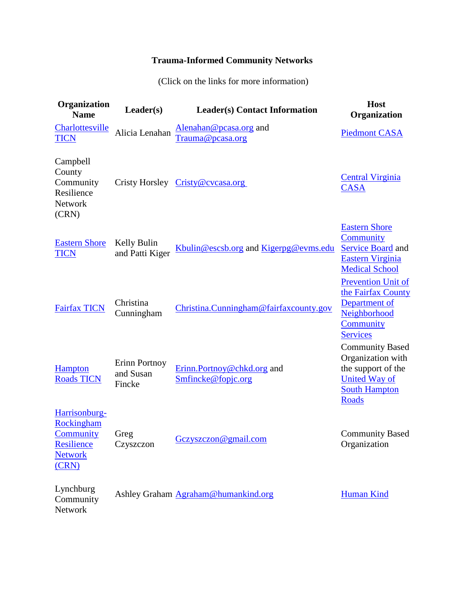## **Trauma-Informed Community Networks**

(Click on the links for more information)

| Organization<br><b>Name</b>                                                       | Leader(s)                            | <b>Leader(s) Contact Information</b>             | <b>Host</b><br>Organization                                                                                                       |
|-----------------------------------------------------------------------------------|--------------------------------------|--------------------------------------------------|-----------------------------------------------------------------------------------------------------------------------------------|
| Charlottesville<br><b>TICN</b>                                                    | Alicia Lenahan                       | Alenahan@pcasa.org and<br>Trauma@pcasa.org       | <b>Piedmont CASA</b>                                                                                                              |
| Campbell<br>County<br>Community<br>Resilience<br><b>Network</b><br>(CRN)          |                                      | Cristy Horsley Cristy@cvcasa.org                 | <b>Central Virginia</b><br><b>CASA</b>                                                                                            |
| <b>Eastern Shore</b><br><b>TICN</b>                                               | Kelly Bulin<br>and Patti Kiger       | Kbulin@escsb.org and Kigerpg@evms.edu            | <b>Eastern Shore</b><br>Community<br><b>Service Board</b> and<br>Eastern Virginia<br><b>Medical School</b>                        |
| <b>Fairfax TICN</b>                                                               | Christina<br>Cunningham              | Christina.Cunningham@fairfaxcounty.gov           | <b>Prevention Unit of</b><br>the Fairfax County<br>Department of<br>Neighborhood<br>Community<br><b>Services</b>                  |
| <b>Hampton</b><br><b>Roads TICN</b>                                               | Erinn Portnoy<br>and Susan<br>Fincke | Erinn.Portnoy@chkd.org and<br>Smfincke@fopjc.org | <b>Community Based</b><br>Organization with<br>the support of the<br><b>United Way of</b><br><b>South Hampton</b><br><b>Roads</b> |
| Harrisonburg-<br>Rockingham<br>Community<br>Resilience<br><b>Network</b><br>(CRN) | Greg<br>Czyszczon                    | Gczyszczon@gmail.com                             | <b>Community Based</b><br>Organization                                                                                            |
| Lynchburg<br>Community<br>Network                                                 |                                      | Ashley Graham Agraham@humankind.org              | <b>Human Kind</b>                                                                                                                 |